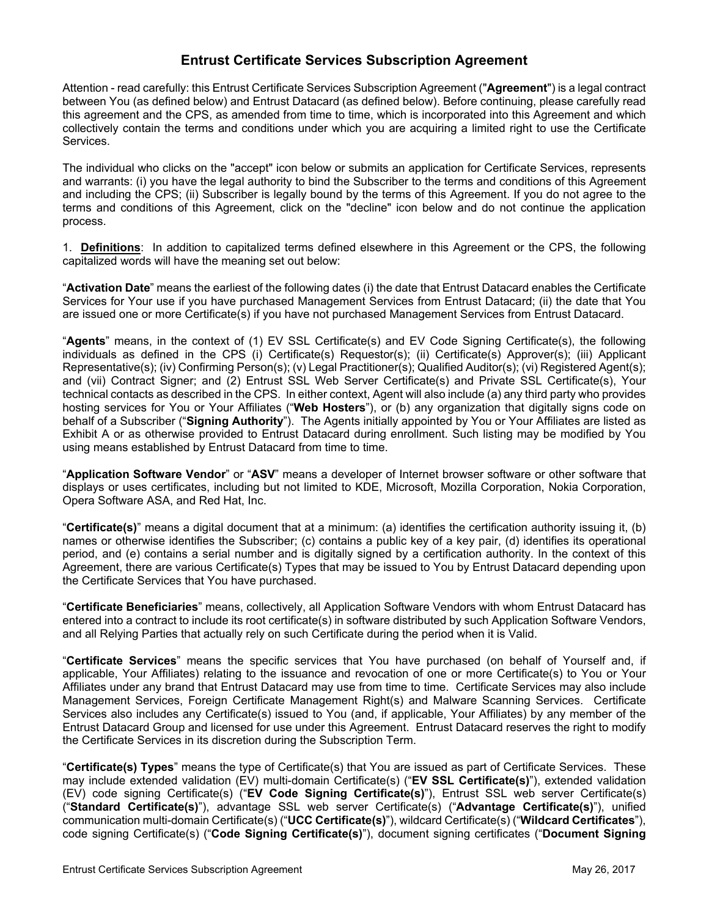## **Entrust Certificate Services Subscription Agreement**

Attention - read carefully: this Entrust Certificate Services Subscription Agreement ("**Agreement**") is a legal contract between You (as defined below) and Entrust Datacard (as defined below). Before continuing, please carefully read this agreement and the CPS, as amended from time to time, which is incorporated into this Agreement and which collectively contain the terms and conditions under which you are acquiring a limited right to use the Certificate Services.

The individual who clicks on the "accept" icon below or submits an application for Certificate Services, represents and warrants: (i) you have the legal authority to bind the Subscriber to the terms and conditions of this Agreement and including the CPS; (ii) Subscriber is legally bound by the terms of this Agreement. If you do not agree to the terms and conditions of this Agreement, click on the "decline" icon below and do not continue the application process.

1. **Definitions**: In addition to capitalized terms defined elsewhere in this Agreement or the CPS, the following capitalized words will have the meaning set out below:

"**Activation Date**" means the earliest of the following dates (i) the date that Entrust Datacard enables the Certificate Services for Your use if you have purchased Management Services from Entrust Datacard; (ii) the date that You are issued one or more Certificate(s) if you have not purchased Management Services from Entrust Datacard.

"**Agents**" means, in the context of (1) EV SSL Certificate(s) and EV Code Signing Certificate(s), the following individuals as defined in the CPS (i) Certificate(s) Requestor(s); (ii) Certificate(s) Approver(s); (iii) Applicant Representative(s); (iv) Confirming Person(s); (v) Legal Practitioner(s); Qualified Auditor(s); (vi) Registered Agent(s); and (vii) Contract Signer; and (2) Entrust SSL Web Server Certificate(s) and Private SSL Certificate(s), Your technical contacts as described in the CPS. In either context, Agent will also include (a) any third party who provides hosting services for You or Your Affiliates ("**Web Hosters**"), or (b) any organization that digitally signs code on behalf of a Subscriber ("**Signing Authority**"). The Agents initially appointed by You or Your Affiliates are listed as Exhibit A or as otherwise provided to Entrust Datacard during enrollment. Such listing may be modified by You using means established by Entrust Datacard from time to time.

"**Application Software Vendor**" or "**ASV**" means a developer of Internet browser software or other software that displays or uses certificates, including but not limited to KDE, Microsoft, Mozilla Corporation, Nokia Corporation, Opera Software ASA, and Red Hat, Inc.

"**Certificate(s)**" means a digital document that at a minimum: (a) identifies the certification authority issuing it, (b) names or otherwise identifies the Subscriber; (c) contains a public key of a key pair, (d) identifies its operational period, and (e) contains a serial number and is digitally signed by a certification authority. In the context of this Agreement, there are various Certificate(s) Types that may be issued to You by Entrust Datacard depending upon the Certificate Services that You have purchased.

"**Certificate Beneficiaries**" means, collectively, all Application Software Vendors with whom Entrust Datacard has entered into a contract to include its root certificate(s) in software distributed by such Application Software Vendors, and all Relying Parties that actually rely on such Certificate during the period when it is Valid.

"**Certificate Services**" means the specific services that You have purchased (on behalf of Yourself and, if applicable, Your Affiliates) relating to the issuance and revocation of one or more Certificate(s) to You or Your Affiliates under any brand that Entrust Datacard may use from time to time. Certificate Services may also include Management Services, Foreign Certificate Management Right(s) and Malware Scanning Services. Certificate Services also includes any Certificate(s) issued to You (and, if applicable, Your Affiliates) by any member of the Entrust Datacard Group and licensed for use under this Agreement. Entrust Datacard reserves the right to modify the Certificate Services in its discretion during the Subscription Term.

"**Certificate(s) Types**" means the type of Certificate(s) that You are issued as part of Certificate Services. These may include extended validation (EV) multi-domain Certificate(s) ("**EV SSL Certificate(s)**"), extended validation (EV) code signing Certificate(s) ("**EV Code Signing Certificate(s)**"), Entrust SSL web server Certificate(s) ("**Standard Certificate(s)**"), advantage SSL web server Certificate(s) ("**Advantage Certificate(s)**"), unified communication multi-domain Certificate(s) ("**UCC Certificate(s)**"), wildcard Certificate(s) ("**Wildcard Certificates**"), code signing Certificate(s) ("**Code Signing Certificate(s)**"), document signing certificates ("**Document Signing**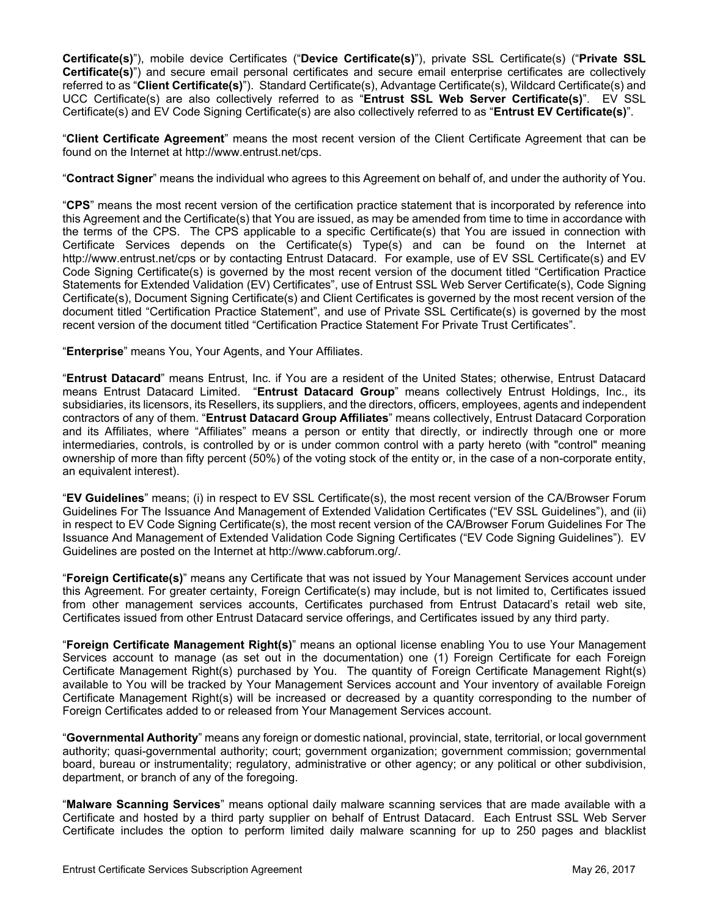**Certificate(s)**"), mobile device Certificates ("**Device Certificate(s)**"), private SSL Certificate(s) ("**Private SSL Certificate(s)**") and secure email personal certificates and secure email enterprise certificates are collectively referred to as "**Client Certificate(s)**"). Standard Certificate(s), Advantage Certificate(s), Wildcard Certificate(s) and UCC Certificate(s) are also collectively referred to as "**Entrust SSL Web Server Certificate(s)**". EV SSL Certificate(s) and EV Code Signing Certificate(s) are also collectively referred to as "**Entrust EV Certificate(s)**".

"**Client Certificate Agreement**" means the most recent version of the Client Certificate Agreement that can be found on the Internet at http://www.entrust.net/cps.

"**Contract Signer**" means the individual who agrees to this Agreement on behalf of, and under the authority of You.

"**CPS**" means the most recent version of the certification practice statement that is incorporated by reference into this Agreement and the Certificate(s) that You are issued, as may be amended from time to time in accordance with the terms of the CPS. The CPS applicable to a specific Certificate(s) that You are issued in connection with Certificate Services depends on the Certificate(s) Type(s) and can be found on the Internet at http://www.entrust.net/cps or by contacting Entrust Datacard. For example, use of EV SSL Certificate(s) and EV Code Signing Certificate(s) is governed by the most recent version of the document titled "Certification Practice Statements for Extended Validation (EV) Certificates", use of Entrust SSL Web Server Certificate(s), Code Signing Certificate(s), Document Signing Certificate(s) and Client Certificates is governed by the most recent version of the document titled "Certification Practice Statement", and use of Private SSL Certificate(s) is governed by the most recent version of the document titled "Certification Practice Statement For Private Trust Certificates".

"**Enterprise**" means You, Your Agents, and Your Affiliates.

"**Entrust Datacard**" means Entrust, Inc. if You are a resident of the United States; otherwise, Entrust Datacard means Entrust Datacard Limited. "**Entrust Datacard Group**" means collectively Entrust Holdings, Inc., its subsidiaries, its licensors, its Resellers, its suppliers, and the directors, officers, employees, agents and independent contractors of any of them. "**Entrust Datacard Group Affiliates**" means collectively, Entrust Datacard Corporation and its Affiliates, where "Affiliates" means a person or entity that directly, or indirectly through one or more intermediaries, controls, is controlled by or is under common control with a party hereto (with "control" meaning ownership of more than fifty percent (50%) of the voting stock of the entity or, in the case of a non-corporate entity, an equivalent interest).

"**EV Guidelines**" means; (i) in respect to EV SSL Certificate(s), the most recent version of the CA/Browser Forum Guidelines For The Issuance And Management of Extended Validation Certificates ("EV SSL Guidelines"), and (ii) in respect to EV Code Signing Certificate(s), the most recent version of the CA/Browser Forum Guidelines For The Issuance And Management of Extended Validation Code Signing Certificates ("EV Code Signing Guidelines"). EV Guidelines are posted on the Internet at http://www.cabforum.org/.

"**Foreign Certificate(s)**" means any Certificate that was not issued by Your Management Services account under this Agreement. For greater certainty, Foreign Certificate(s) may include, but is not limited to, Certificates issued from other management services accounts, Certificates purchased from Entrust Datacard's retail web site, Certificates issued from other Entrust Datacard service offerings, and Certificates issued by any third party.

"**Foreign Certificate Management Right(s)**" means an optional license enabling You to use Your Management Services account to manage (as set out in the documentation) one (1) Foreign Certificate for each Foreign Certificate Management Right(s) purchased by You. The quantity of Foreign Certificate Management Right(s) available to You will be tracked by Your Management Services account and Your inventory of available Foreign Certificate Management Right(s) will be increased or decreased by a quantity corresponding to the number of Foreign Certificates added to or released from Your Management Services account.

"**Governmental Authority**" means any foreign or domestic national, provincial, state, territorial, or local government authority; quasi-governmental authority; court; government organization; government commission; governmental board, bureau or instrumentality; regulatory, administrative or other agency; or any political or other subdivision, department, or branch of any of the foregoing.

"**Malware Scanning Services**" means optional daily malware scanning services that are made available with a Certificate and hosted by a third party supplier on behalf of Entrust Datacard. Each Entrust SSL Web Server Certificate includes the option to perform limited daily malware scanning for up to 250 pages and blacklist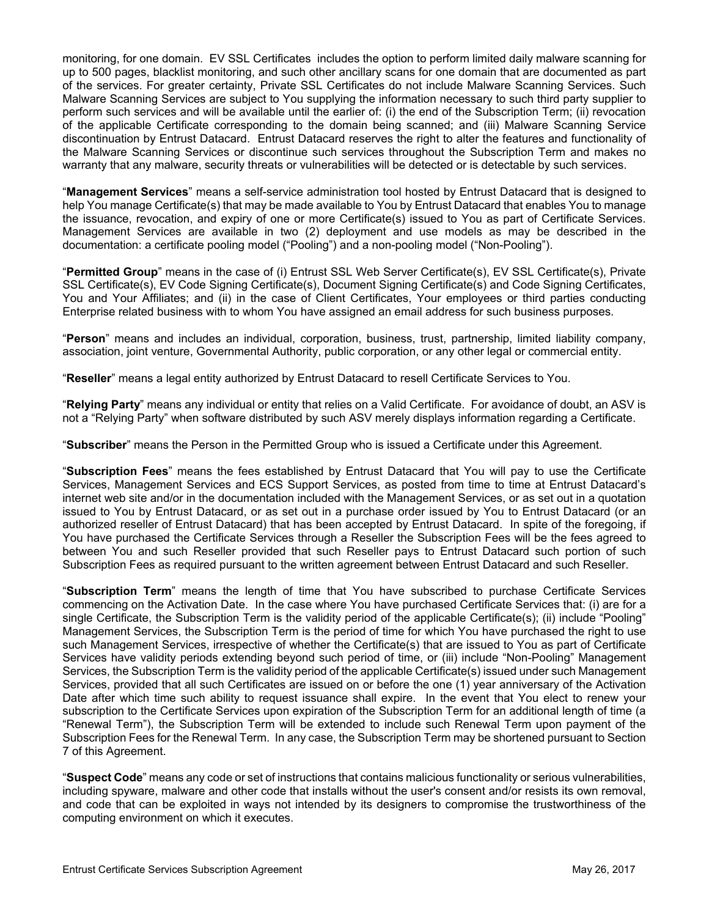monitoring, for one domain. EV SSL Certificates includes the option to perform limited daily malware scanning for up to 500 pages, blacklist monitoring, and such other ancillary scans for one domain that are documented as part of the services. For greater certainty, Private SSL Certificates do not include Malware Scanning Services. Such Malware Scanning Services are subject to You supplying the information necessary to such third party supplier to perform such services and will be available until the earlier of: (i) the end of the Subscription Term; (ii) revocation of the applicable Certificate corresponding to the domain being scanned; and (iii) Malware Scanning Service discontinuation by Entrust Datacard. Entrust Datacard reserves the right to alter the features and functionality of the Malware Scanning Services or discontinue such services throughout the Subscription Term and makes no warranty that any malware, security threats or vulnerabilities will be detected or is detectable by such services.

"**Management Services**" means a self-service administration tool hosted by Entrust Datacard that is designed to help You manage Certificate(s) that may be made available to You by Entrust Datacard that enables You to manage the issuance, revocation, and expiry of one or more Certificate(s) issued to You as part of Certificate Services. Management Services are available in two (2) deployment and use models as may be described in the documentation: a certificate pooling model ("Pooling") and a non-pooling model ("Non-Pooling").

"**Permitted Group**" means in the case of (i) Entrust SSL Web Server Certificate(s), EV SSL Certificate(s), Private SSL Certificate(s), EV Code Signing Certificate(s), Document Signing Certificate(s) and Code Signing Certificates, You and Your Affiliates; and (ii) in the case of Client Certificates, Your employees or third parties conducting Enterprise related business with to whom You have assigned an email address for such business purposes.

"**Person**" means and includes an individual, corporation, business, trust, partnership, limited liability company, association, joint venture, Governmental Authority, public corporation, or any other legal or commercial entity.

"**Reseller**" means a legal entity authorized by Entrust Datacard to resell Certificate Services to You.

"**Relying Party**" means any individual or entity that relies on a Valid Certificate. For avoidance of doubt, an ASV is not a "Relying Party" when software distributed by such ASV merely displays information regarding a Certificate.

"**Subscriber**" means the Person in the Permitted Group who is issued a Certificate under this Agreement.

"**Subscription Fees**" means the fees established by Entrust Datacard that You will pay to use the Certificate Services, Management Services and ECS Support Services, as posted from time to time at Entrust Datacard's internet web site and/or in the documentation included with the Management Services, or as set out in a quotation issued to You by Entrust Datacard, or as set out in a purchase order issued by You to Entrust Datacard (or an authorized reseller of Entrust Datacard) that has been accepted by Entrust Datacard. In spite of the foregoing, if You have purchased the Certificate Services through a Reseller the Subscription Fees will be the fees agreed to between You and such Reseller provided that such Reseller pays to Entrust Datacard such portion of such Subscription Fees as required pursuant to the written agreement between Entrust Datacard and such Reseller.

"**Subscription Term**" means the length of time that You have subscribed to purchase Certificate Services commencing on the Activation Date. In the case where You have purchased Certificate Services that: (i) are for a single Certificate, the Subscription Term is the validity period of the applicable Certificate(s); (ii) include "Pooling" Management Services, the Subscription Term is the period of time for which You have purchased the right to use such Management Services, irrespective of whether the Certificate(s) that are issued to You as part of Certificate Services have validity periods extending beyond such period of time, or (iii) include "Non-Pooling" Management Services, the Subscription Term is the validity period of the applicable Certificate(s) issued under such Management Services, provided that all such Certificates are issued on or before the one (1) year anniversary of the Activation Date after which time such ability to request issuance shall expire. In the event that You elect to renew your subscription to the Certificate Services upon expiration of the Subscription Term for an additional length of time (a "Renewal Term"), the Subscription Term will be extended to include such Renewal Term upon payment of the Subscription Fees for the Renewal Term. In any case, the Subscription Term may be shortened pursuant to Section 7 of this Agreement.

"**Suspect Code**" means any code or set of instructions that contains malicious functionality or serious vulnerabilities, including spyware, malware and other code that installs without the user's consent and/or resists its own removal, and code that can be exploited in ways not intended by its designers to compromise the trustworthiness of the computing environment on which it executes.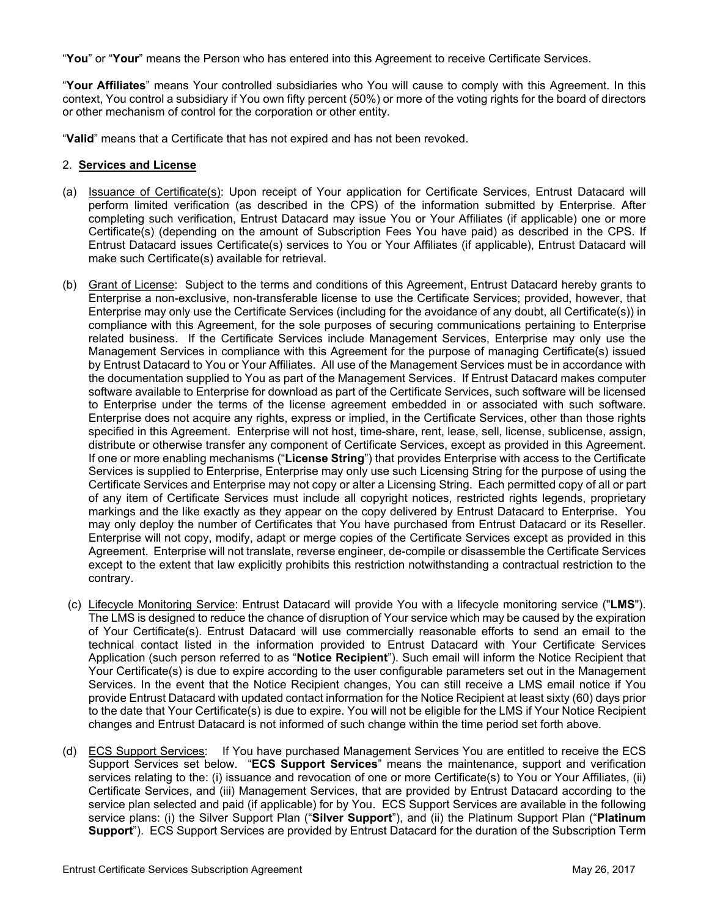"**You**" or "**Your**" means the Person who has entered into this Agreement to receive Certificate Services.

"**Your Affiliates**" means Your controlled subsidiaries who You will cause to comply with this Agreement. In this context, You control a subsidiary if You own fifty percent (50%) or more of the voting rights for the board of directors or other mechanism of control for the corporation or other entity.

"**Valid**" means that a Certificate that has not expired and has not been revoked.

#### 2. **Services and License**

- (a) Issuance of Certificate(s): Upon receipt of Your application for Certificate Services, Entrust Datacard will perform limited verification (as described in the CPS) of the information submitted by Enterprise. After completing such verification, Entrust Datacard may issue You or Your Affiliates (if applicable) one or more Certificate(s) (depending on the amount of Subscription Fees You have paid) as described in the CPS. If Entrust Datacard issues Certificate(s) services to You or Your Affiliates (if applicable), Entrust Datacard will make such Certificate(s) available for retrieval.
- (b) Grant of License: Subject to the terms and conditions of this Agreement, Entrust Datacard hereby grants to Enterprise a non-exclusive, non-transferable license to use the Certificate Services; provided, however, that Enterprise may only use the Certificate Services (including for the avoidance of any doubt, all Certificate(s)) in compliance with this Agreement, for the sole purposes of securing communications pertaining to Enterprise related business. If the Certificate Services include Management Services, Enterprise may only use the Management Services in compliance with this Agreement for the purpose of managing Certificate(s) issued by Entrust Datacard to You or Your Affiliates. All use of the Management Services must be in accordance with the documentation supplied to You as part of the Management Services. If Entrust Datacard makes computer software available to Enterprise for download as part of the Certificate Services, such software will be licensed to Enterprise under the terms of the license agreement embedded in or associated with such software. Enterprise does not acquire any rights, express or implied, in the Certificate Services, other than those rights specified in this Agreement. Enterprise will not host, time-share, rent, lease, sell, license, sublicense, assign, distribute or otherwise transfer any component of Certificate Services, except as provided in this Agreement. If one or more enabling mechanisms ("**License String**") that provides Enterprise with access to the Certificate Services is supplied to Enterprise, Enterprise may only use such Licensing String for the purpose of using the Certificate Services and Enterprise may not copy or alter a Licensing String. Each permitted copy of all or part of any item of Certificate Services must include all copyright notices, restricted rights legends, proprietary markings and the like exactly as they appear on the copy delivered by Entrust Datacard to Enterprise. You may only deploy the number of Certificates that You have purchased from Entrust Datacard or its Reseller. Enterprise will not copy, modify, adapt or merge copies of the Certificate Services except as provided in this Agreement. Enterprise will not translate, reverse engineer, de-compile or disassemble the Certificate Services except to the extent that law explicitly prohibits this restriction notwithstanding a contractual restriction to the contrary.
- (c) Lifecycle Monitoring Service: Entrust Datacard will provide You with a lifecycle monitoring service ("**LMS**"). The LMS is designed to reduce the chance of disruption of Your service which may be caused by the expiration of Your Certificate(s). Entrust Datacard will use commercially reasonable efforts to send an email to the technical contact listed in the information provided to Entrust Datacard with Your Certificate Services Application (such person referred to as "**Notice Recipient**"). Such email will inform the Notice Recipient that Your Certificate(s) is due to expire according to the user configurable parameters set out in the Management Services. In the event that the Notice Recipient changes, You can still receive a LMS email notice if You provide Entrust Datacard with updated contact information for the Notice Recipient at least sixty (60) days prior to the date that Your Certificate(s) is due to expire. You will not be eligible for the LMS if Your Notice Recipient changes and Entrust Datacard is not informed of such change within the time period set forth above.
- (d) ECS Support Services: If You have purchased Management Services You are entitled to receive the ECS Support Services set below. "**ECS Support Services**" means the maintenance, support and verification services relating to the: (i) issuance and revocation of one or more Certificate(s) to You or Your Affiliates, (ii) Certificate Services, and (iii) Management Services, that are provided by Entrust Datacard according to the service plan selected and paid (if applicable) for by You. ECS Support Services are available in the following service plans: (i) the Silver Support Plan ("**Silver Support**"), and (ii) the Platinum Support Plan ("**Platinum Support**"). ECS Support Services are provided by Entrust Datacard for the duration of the Subscription Term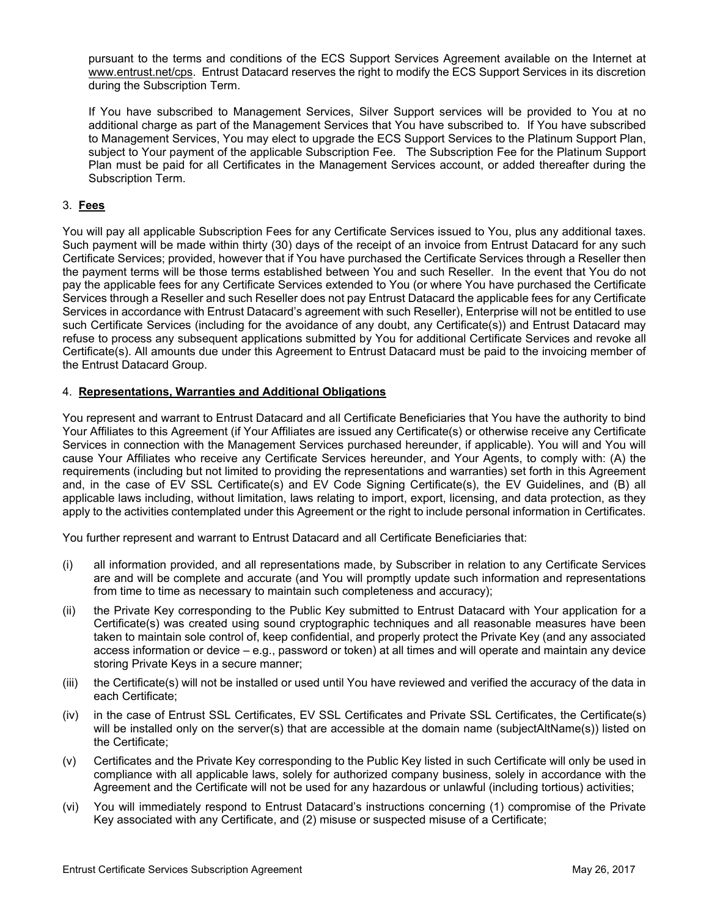pursuant to the terms and conditions of the ECS Support Services Agreement available on the Internet at www.entrust.net/cps. Entrust Datacard reserves the right to modify the ECS Support Services in its discretion during the Subscription Term.

If You have subscribed to Management Services, Silver Support services will be provided to You at no additional charge as part of the Management Services that You have subscribed to. If You have subscribed to Management Services, You may elect to upgrade the ECS Support Services to the Platinum Support Plan, subject to Your payment of the applicable Subscription Fee. The Subscription Fee for the Platinum Support Plan must be paid for all Certificates in the Management Services account, or added thereafter during the Subscription Term.

#### 3. **Fees**

You will pay all applicable Subscription Fees for any Certificate Services issued to You, plus any additional taxes. Such payment will be made within thirty (30) days of the receipt of an invoice from Entrust Datacard for any such Certificate Services; provided, however that if You have purchased the Certificate Services through a Reseller then the payment terms will be those terms established between You and such Reseller. In the event that You do not pay the applicable fees for any Certificate Services extended to You (or where You have purchased the Certificate Services through a Reseller and such Reseller does not pay Entrust Datacard the applicable fees for any Certificate Services in accordance with Entrust Datacard's agreement with such Reseller), Enterprise will not be entitled to use such Certificate Services (including for the avoidance of any doubt, any Certificate(s)) and Entrust Datacard may refuse to process any subsequent applications submitted by You for additional Certificate Services and revoke all Certificate(s). All amounts due under this Agreement to Entrust Datacard must be paid to the invoicing member of the Entrust Datacard Group.

#### 4. **Representations, Warranties and Additional Obligations**

You represent and warrant to Entrust Datacard and all Certificate Beneficiaries that You have the authority to bind Your Affiliates to this Agreement (if Your Affiliates are issued any Certificate(s) or otherwise receive any Certificate Services in connection with the Management Services purchased hereunder, if applicable). You will and You will cause Your Affiliates who receive any Certificate Services hereunder, and Your Agents, to comply with: (A) the requirements (including but not limited to providing the representations and warranties) set forth in this Agreement and, in the case of EV SSL Certificate(s) and EV Code Signing Certificate(s), the EV Guidelines, and (B) all applicable laws including, without limitation, laws relating to import, export, licensing, and data protection, as they apply to the activities contemplated under this Agreement or the right to include personal information in Certificates.

You further represent and warrant to Entrust Datacard and all Certificate Beneficiaries that:

- (i) all information provided, and all representations made, by Subscriber in relation to any Certificate Services are and will be complete and accurate (and You will promptly update such information and representations from time to time as necessary to maintain such completeness and accuracy);
- (ii) the Private Key corresponding to the Public Key submitted to Entrust Datacard with Your application for a Certificate(s) was created using sound cryptographic techniques and all reasonable measures have been taken to maintain sole control of, keep confidential, and properly protect the Private Key (and any associated access information or device – e.g., password or token) at all times and will operate and maintain any device storing Private Keys in a secure manner;
- (iii) the Certificate(s) will not be installed or used until You have reviewed and verified the accuracy of the data in each Certificate;
- (iv) in the case of Entrust SSL Certificates, EV SSL Certificates and Private SSL Certificates, the Certificate(s) will be installed only on the server(s) that are accessible at the domain name (subjectAltName(s)) listed on the Certificate;
- (v) Certificates and the Private Key corresponding to the Public Key listed in such Certificate will only be used in compliance with all applicable laws, solely for authorized company business, solely in accordance with the Agreement and the Certificate will not be used for any hazardous or unlawful (including tortious) activities;
- (vi) You will immediately respond to Entrust Datacard's instructions concerning (1) compromise of the Private Key associated with any Certificate, and (2) misuse or suspected misuse of a Certificate;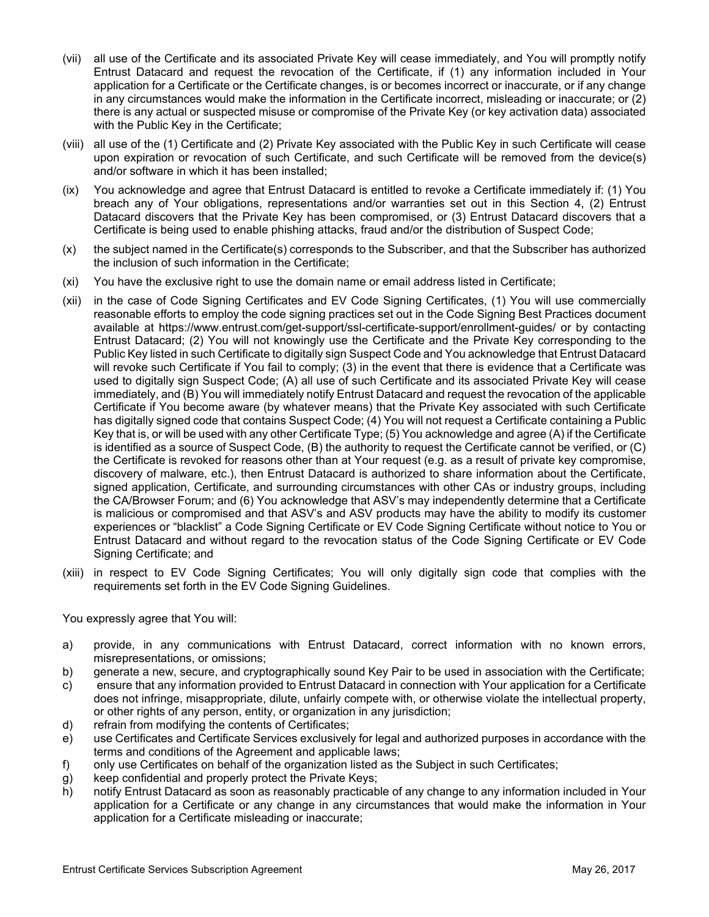- (vii) all use of the Certificate and its associated Private Key will cease immediately, and You will promptly notify Entrust Datacard and request the revocation of the Certificate, if (1) any information included in Your application for a Certificate or the Certificate changes, is or becomes incorrect or inaccurate, or if any change in any circumstances would make the information in the Certificate incorrect, misleading or inaccurate; or (2) there is any actual or suspected misuse or compromise of the Private Key (or key activation data) associated with the Public Key in the Certificate;
- (viii) all use of the (1) Certificate and (2) Private Key associated with the Public Key in such Certificate will cease upon expiration or revocation of such Certificate, and such Certificate will be removed from the device(s) and/or software in which it has been installed;
- (ix) You acknowledge and agree that Entrust Datacard is entitled to revoke a Certificate immediately if: (1) You breach any of Your obligations, representations and/or warranties set out in this Section 4, (2) Entrust Datacard discovers that the Private Key has been compromised, or (3) Entrust Datacard discovers that a Certificate is being used to enable phishing attacks, fraud and/or the distribution of Suspect Code;
- (x) the subject named in the Certificate(s) corresponds to the Subscriber, and that the Subscriber has authorized the inclusion of such information in the Certificate;
- (xi) You have the exclusive right to use the domain name or email address listed in Certificate;
- (xii) in the case of Code Signing Certificates and EV Code Signing Certificates, (1) You will use commercially reasonable efforts to employ the code signing practices set out in the Code Signing Best Practices document available at https://www.entrust.com/get-support/ssl-certificate-support/enrollment-guides/ or by contacting Entrust Datacard; (2) You will not knowingly use the Certificate and the Private Key corresponding to the Public Key listed in such Certificate to digitally sign Suspect Code and You acknowledge that Entrust Datacard will revoke such Certificate if You fail to comply; (3) in the event that there is evidence that a Certificate was used to digitally sign Suspect Code; (A) all use of such Certificate and its associated Private Key will cease immediately, and (B) You will immediately notify Entrust Datacard and request the revocation of the applicable Certificate if You become aware (by whatever means) that the Private Key associated with such Certificate has digitally signed code that contains Suspect Code; (4) You will not request a Certificate containing a Public Key that is, or will be used with any other Certificate Type; (5) You acknowledge and agree (A) if the Certificate is identified as a source of Suspect Code, (B) the authority to request the Certificate cannot be verified, or (C) the Certificate is revoked for reasons other than at Your request (e.g. as a result of private key compromise, discovery of malware, etc.), then Entrust Datacard is authorized to share information about the Certificate, signed application, Certificate, and surrounding circumstances with other CAs or industry groups, including the CA/Browser Forum; and (6) You acknowledge that ASV's may independently determine that a Certificate is malicious or compromised and that ASV's and ASV products may have the ability to modify its customer experiences or "blacklist" a Code Signing Certificate or EV Code Signing Certificate without notice to You or Entrust Datacard and without regard to the revocation status of the Code Signing Certificate or EV Code Signing Certificate; and
- (xiii) in respect to EV Code Signing Certificates; You will only digitally sign code that complies with the requirements set forth in the EV Code Signing Guidelines.

#### You expressly agree that You will:

- a) provide, in any communications with Entrust Datacard, correct information with no known errors, misrepresentations, or omissions;
- b) generate a new, secure, and cryptographically sound Key Pair to be used in association with the Certificate;
- c) ensure that any information provided to Entrust Datacard in connection with Your application for a Certificate does not infringe, misappropriate, dilute, unfairly compete with, or otherwise violate the intellectual property, or other rights of any person, entity, or organization in any jurisdiction;
- d) refrain from modifying the contents of Certificates;
- e) use Certificates and Certificate Services exclusively for legal and authorized purposes in accordance with the terms and conditions of the Agreement and applicable laws;
- f) only use Certificates on behalf of the organization listed as the Subject in such Certificates;
- g) keep confidential and properly protect the Private Keys;
- h) notify Entrust Datacard as soon as reasonably practicable of any change to any information included in Your application for a Certificate or any change in any circumstances that would make the information in Your application for a Certificate misleading or inaccurate;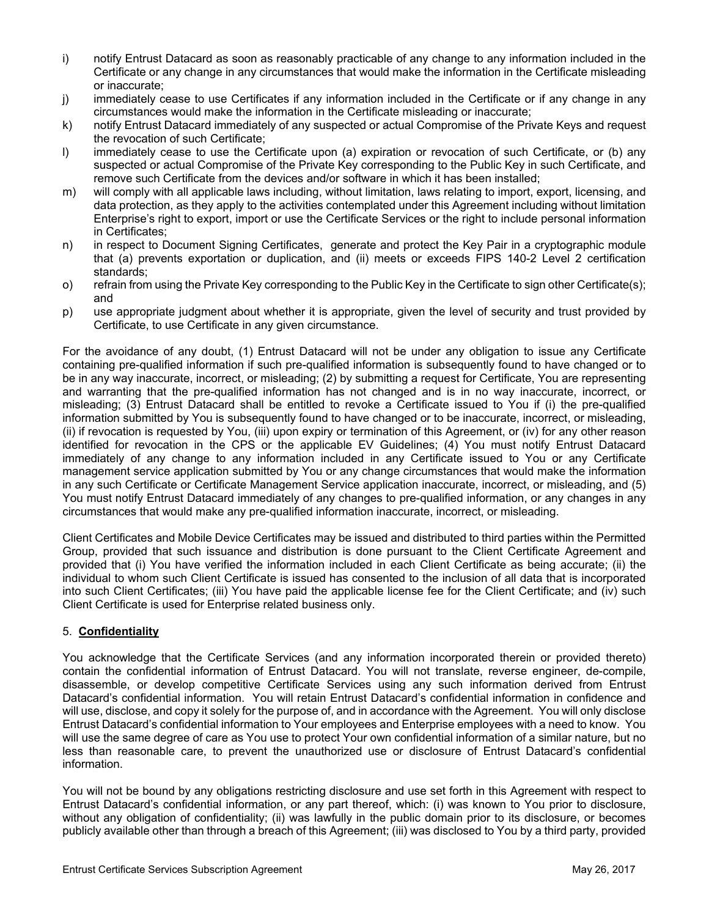- i) notify Entrust Datacard as soon as reasonably practicable of any change to any information included in the Certificate or any change in any circumstances that would make the information in the Certificate misleading or inaccurate;
- j) immediately cease to use Certificates if any information included in the Certificate or if any change in any circumstances would make the information in the Certificate misleading or inaccurate;
- k) notify Entrust Datacard immediately of any suspected or actual Compromise of the Private Keys and request the revocation of such Certificate;
- l) immediately cease to use the Certificate upon (a) expiration or revocation of such Certificate, or (b) any suspected or actual Compromise of the Private Key corresponding to the Public Key in such Certificate, and remove such Certificate from the devices and/or software in which it has been installed;
- m) will comply with all applicable laws including, without limitation, laws relating to import, export, licensing, and data protection, as they apply to the activities contemplated under this Agreement including without limitation Enterprise's right to export, import or use the Certificate Services or the right to include personal information in Certificates;
- n) in respect to Document Signing Certificates, generate and protect the Key Pair in a cryptographic module that (a) prevents exportation or duplication, and (ii) meets or exceeds FIPS 140-2 Level 2 certification standards;
- o) refrain from using the Private Key corresponding to the Public Key in the Certificate to sign other Certificate(s); and
- p) use appropriate judgment about whether it is appropriate, given the level of security and trust provided by Certificate, to use Certificate in any given circumstance.

For the avoidance of any doubt, (1) Entrust Datacard will not be under any obligation to issue any Certificate containing pre-qualified information if such pre-qualified information is subsequently found to have changed or to be in any way inaccurate, incorrect, or misleading; (2) by submitting a request for Certificate, You are representing and warranting that the pre-qualified information has not changed and is in no way inaccurate, incorrect, or misleading; (3) Entrust Datacard shall be entitled to revoke a Certificate issued to You if (i) the pre-qualified information submitted by You is subsequently found to have changed or to be inaccurate, incorrect, or misleading, (ii) if revocation is requested by You, (iii) upon expiry or termination of this Agreement, or (iv) for any other reason identified for revocation in the CPS or the applicable EV Guidelines; (4) You must notify Entrust Datacard immediately of any change to any information included in any Certificate issued to You or any Certificate management service application submitted by You or any change circumstances that would make the information in any such Certificate or Certificate Management Service application inaccurate, incorrect, or misleading, and (5) You must notify Entrust Datacard immediately of any changes to pre-qualified information, or any changes in any circumstances that would make any pre-qualified information inaccurate, incorrect, or misleading.

Client Certificates and Mobile Device Certificates may be issued and distributed to third parties within the Permitted Group, provided that such issuance and distribution is done pursuant to the Client Certificate Agreement and provided that (i) You have verified the information included in each Client Certificate as being accurate; (ii) the individual to whom such Client Certificate is issued has consented to the inclusion of all data that is incorporated into such Client Certificates; (iii) You have paid the applicable license fee for the Client Certificate; and (iv) such Client Certificate is used for Enterprise related business only.

## 5. **Confidentiality**

You acknowledge that the Certificate Services (and any information incorporated therein or provided thereto) contain the confidential information of Entrust Datacard. You will not translate, reverse engineer, de-compile, disassemble, or develop competitive Certificate Services using any such information derived from Entrust Datacard's confidential information. You will retain Entrust Datacard's confidential information in confidence and will use, disclose, and copy it solely for the purpose of, and in accordance with the Agreement. You will only disclose Entrust Datacard's confidential information to Your employees and Enterprise employees with a need to know. You will use the same degree of care as You use to protect Your own confidential information of a similar nature, but no less than reasonable care, to prevent the unauthorized use or disclosure of Entrust Datacard's confidential information.

You will not be bound by any obligations restricting disclosure and use set forth in this Agreement with respect to Entrust Datacard's confidential information, or any part thereof, which: (i) was known to You prior to disclosure, without any obligation of confidentiality; (ii) was lawfully in the public domain prior to its disclosure, or becomes publicly available other than through a breach of this Agreement; (iii) was disclosed to You by a third party, provided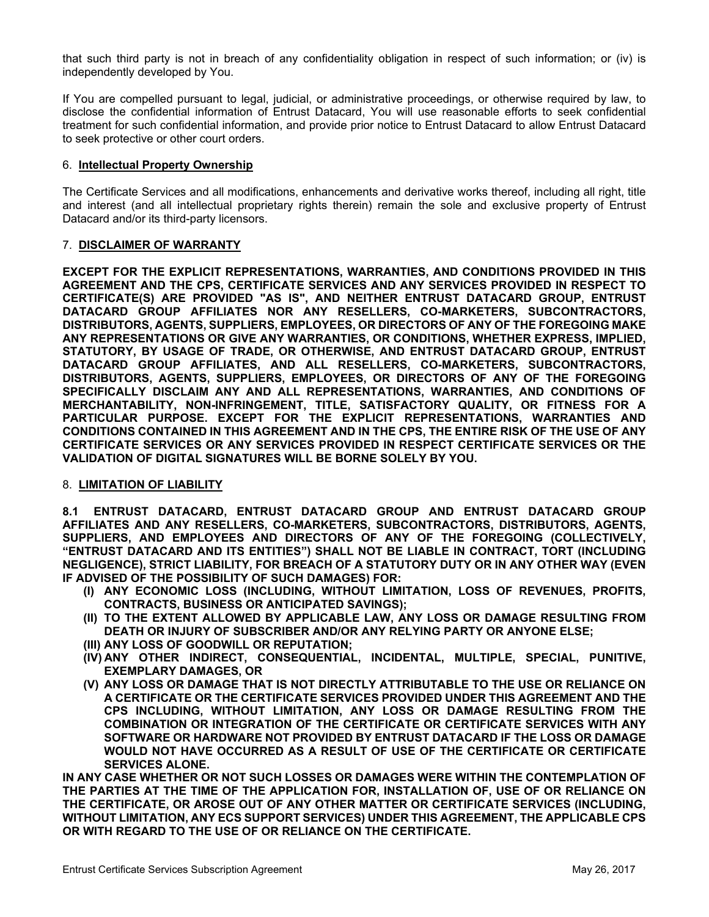that such third party is not in breach of any confidentiality obligation in respect of such information; or (iv) is independently developed by You.

If You are compelled pursuant to legal, judicial, or administrative proceedings, or otherwise required by law, to disclose the confidential information of Entrust Datacard, You will use reasonable efforts to seek confidential treatment for such confidential information, and provide prior notice to Entrust Datacard to allow Entrust Datacard to seek protective or other court orders.

#### 6. **Intellectual Property Ownership**

The Certificate Services and all modifications, enhancements and derivative works thereof, including all right, title and interest (and all intellectual proprietary rights therein) remain the sole and exclusive property of Entrust Datacard and/or its third-party licensors.

#### 7. **DISCLAIMER OF WARRANTY**

**EXCEPT FOR THE EXPLICIT REPRESENTATIONS, WARRANTIES, AND CONDITIONS PROVIDED IN THIS AGREEMENT AND THE CPS, CERTIFICATE SERVICES AND ANY SERVICES PROVIDED IN RESPECT TO CERTIFICATE(S) ARE PROVIDED "AS IS", AND NEITHER ENTRUST DATACARD GROUP, ENTRUST DATACARD GROUP AFFILIATES NOR ANY RESELLERS, CO-MARKETERS, SUBCONTRACTORS, DISTRIBUTORS, AGENTS, SUPPLIERS, EMPLOYEES, OR DIRECTORS OF ANY OF THE FOREGOING MAKE ANY REPRESENTATIONS OR GIVE ANY WARRANTIES, OR CONDITIONS, WHETHER EXPRESS, IMPLIED, STATUTORY, BY USAGE OF TRADE, OR OTHERWISE, AND ENTRUST DATACARD GROUP, ENTRUST DATACARD GROUP AFFILIATES, AND ALL RESELLERS, CO-MARKETERS, SUBCONTRACTORS, DISTRIBUTORS, AGENTS, SUPPLIERS, EMPLOYEES, OR DIRECTORS OF ANY OF THE FOREGOING SPECIFICALLY DISCLAIM ANY AND ALL REPRESENTATIONS, WARRANTIES, AND CONDITIONS OF MERCHANTABILITY, NON-INFRINGEMENT, TITLE, SATISFACTORY QUALITY, OR FITNESS FOR A PARTICULAR PURPOSE. EXCEPT FOR THE EXPLICIT REPRESENTATIONS, WARRANTIES AND CONDITIONS CONTAINED IN THIS AGREEMENT AND IN THE CPS, THE ENTIRE RISK OF THE USE OF ANY CERTIFICATE SERVICES OR ANY SERVICES PROVIDED IN RESPECT CERTIFICATE SERVICES OR THE VALIDATION OF DIGITAL SIGNATURES WILL BE BORNE SOLELY BY YOU.**

#### 8. **LIMITATION OF LIABILITY**

**8.1 ENTRUST DATACARD, ENTRUST DATACARD GROUP AND ENTRUST DATACARD GROUP AFFILIATES AND ANY RESELLERS, CO-MARKETERS, SUBCONTRACTORS, DISTRIBUTORS, AGENTS, SUPPLIERS, AND EMPLOYEES AND DIRECTORS OF ANY OF THE FOREGOING (COLLECTIVELY, "ENTRUST DATACARD AND ITS ENTITIES") SHALL NOT BE LIABLE IN CONTRACT, TORT (INCLUDING NEGLIGENCE), STRICT LIABILITY, FOR BREACH OF A STATUTORY DUTY OR IN ANY OTHER WAY (EVEN IF ADVISED OF THE POSSIBILITY OF SUCH DAMAGES) FOR:** 

- **(I) ANY ECONOMIC LOSS (INCLUDING, WITHOUT LIMITATION, LOSS OF REVENUES, PROFITS, CONTRACTS, BUSINESS OR ANTICIPATED SAVINGS);**
- **(II) TO THE EXTENT ALLOWED BY APPLICABLE LAW, ANY LOSS OR DAMAGE RESULTING FROM DEATH OR INJURY OF SUBSCRIBER AND/OR ANY RELYING PARTY OR ANYONE ELSE;**
- **(III) ANY LOSS OF GOODWILL OR REPUTATION;**
- **(IV) ANY OTHER INDIRECT, CONSEQUENTIAL, INCIDENTAL, MULTIPLE, SPECIAL, PUNITIVE, EXEMPLARY DAMAGES, OR**
- **(V) ANY LOSS OR DAMAGE THAT IS NOT DIRECTLY ATTRIBUTABLE TO THE USE OR RELIANCE ON A CERTIFICATE OR THE CERTIFICATE SERVICES PROVIDED UNDER THIS AGREEMENT AND THE CPS INCLUDING, WITHOUT LIMITATION, ANY LOSS OR DAMAGE RESULTING FROM THE COMBINATION OR INTEGRATION OF THE CERTIFICATE OR CERTIFICATE SERVICES WITH ANY SOFTWARE OR HARDWARE NOT PROVIDED BY ENTRUST DATACARD IF THE LOSS OR DAMAGE WOULD NOT HAVE OCCURRED AS A RESULT OF USE OF THE CERTIFICATE OR CERTIFICATE SERVICES ALONE.**

**IN ANY CASE WHETHER OR NOT SUCH LOSSES OR DAMAGES WERE WITHIN THE CONTEMPLATION OF THE PARTIES AT THE TIME OF THE APPLICATION FOR, INSTALLATION OF, USE OF OR RELIANCE ON THE CERTIFICATE, OR AROSE OUT OF ANY OTHER MATTER OR CERTIFICATE SERVICES (INCLUDING, WITHOUT LIMITATION, ANY ECS SUPPORT SERVICES) UNDER THIS AGREEMENT, THE APPLICABLE CPS OR WITH REGARD TO THE USE OF OR RELIANCE ON THE CERTIFICATE.**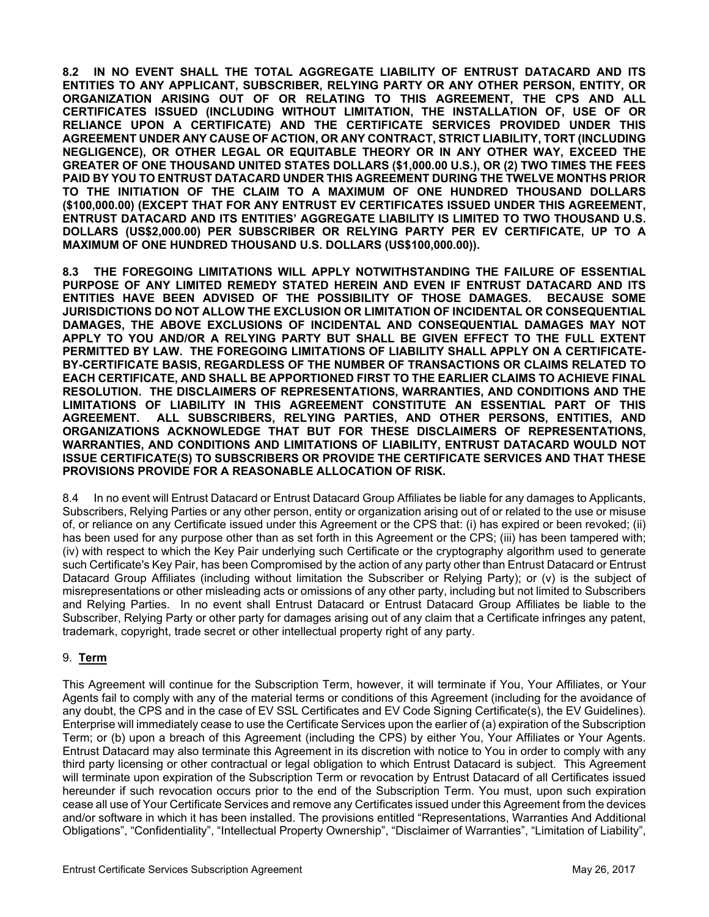**8.2 IN NO EVENT SHALL THE TOTAL AGGREGATE LIABILITY OF ENTRUST DATACARD AND ITS ENTITIES TO ANY APPLICANT, SUBSCRIBER, RELYING PARTY OR ANY OTHER PERSON, ENTITY, OR ORGANIZATION ARISING OUT OF OR RELATING TO THIS AGREEMENT, THE CPS AND ALL CERTIFICATES ISSUED (INCLUDING WITHOUT LIMITATION, THE INSTALLATION OF, USE OF OR RELIANCE UPON A CERTIFICATE) AND THE CERTIFICATE SERVICES PROVIDED UNDER THIS AGREEMENT UNDER ANY CAUSE OF ACTION, OR ANY CONTRACT, STRICT LIABILITY, TORT (INCLUDING NEGLIGENCE), OR OTHER LEGAL OR EQUITABLE THEORY OR IN ANY OTHER WAY, EXCEED THE GREATER OF ONE THOUSAND UNITED STATES DOLLARS (\$1,000.00 U.S.), OR (2) TWO TIMES THE FEES PAID BY YOU TO ENTRUST DATACARD UNDER THIS AGREEMENT DURING THE TWELVE MONTHS PRIOR TO THE INITIATION OF THE CLAIM TO A MAXIMUM OF ONE HUNDRED THOUSAND DOLLARS (\$100,000.00) (EXCEPT THAT FOR ANY ENTRUST EV CERTIFICATES ISSUED UNDER THIS AGREEMENT, ENTRUST DATACARD AND ITS ENTITIES' AGGREGATE LIABILITY IS LIMITED TO TWO THOUSAND U.S. DOLLARS (US\$2,000.00) PER SUBSCRIBER OR RELYING PARTY PER EV CERTIFICATE, UP TO A MAXIMUM OF ONE HUNDRED THOUSAND U.S. DOLLARS (US\$100,000.00)).** 

**8.3 THE FOREGOING LIMITATIONS WILL APPLY NOTWITHSTANDING THE FAILURE OF ESSENTIAL PURPOSE OF ANY LIMITED REMEDY STATED HEREIN AND EVEN IF ENTRUST DATACARD AND ITS ENTITIES HAVE BEEN ADVISED OF THE POSSIBILITY OF THOSE DAMAGES. BECAUSE SOME JURISDICTIONS DO NOT ALLOW THE EXCLUSION OR LIMITATION OF INCIDENTAL OR CONSEQUENTIAL DAMAGES, THE ABOVE EXCLUSIONS OF INCIDENTAL AND CONSEQUENTIAL DAMAGES MAY NOT APPLY TO YOU AND/OR A RELYING PARTY BUT SHALL BE GIVEN EFFECT TO THE FULL EXTENT PERMITTED BY LAW. THE FOREGOING LIMITATIONS OF LIABILITY SHALL APPLY ON A CERTIFICATE-BY-CERTIFICATE BASIS, REGARDLESS OF THE NUMBER OF TRANSACTIONS OR CLAIMS RELATED TO EACH CERTIFICATE, AND SHALL BE APPORTIONED FIRST TO THE EARLIER CLAIMS TO ACHIEVE FINAL RESOLUTION. THE DISCLAIMERS OF REPRESENTATIONS, WARRANTIES, AND CONDITIONS AND THE LIMITATIONS OF LIABILITY IN THIS AGREEMENT CONSTITUTE AN ESSENTIAL PART OF THIS AGREEMENT. ALL SUBSCRIBERS, RELYING PARTIES, AND OTHER PERSONS, ENTITIES, AND ORGANIZATIONS ACKNOWLEDGE THAT BUT FOR THESE DISCLAIMERS OF REPRESENTATIONS, WARRANTIES, AND CONDITIONS AND LIMITATIONS OF LIABILITY, ENTRUST DATACARD WOULD NOT ISSUE CERTIFICATE(S) TO SUBSCRIBERS OR PROVIDE THE CERTIFICATE SERVICES AND THAT THESE PROVISIONS PROVIDE FOR A REASONABLE ALLOCATION OF RISK.** 

8.4 In no event will Entrust Datacard or Entrust Datacard Group Affiliates be liable for any damages to Applicants, Subscribers, Relying Parties or any other person, entity or organization arising out of or related to the use or misuse of, or reliance on any Certificate issued under this Agreement or the CPS that: (i) has expired or been revoked; (ii) has been used for any purpose other than as set forth in this Agreement or the CPS; (iii) has been tampered with; (iv) with respect to which the Key Pair underlying such Certificate or the cryptography algorithm used to generate such Certificate's Key Pair, has been Compromised by the action of any party other than Entrust Datacard or Entrust Datacard Group Affiliates (including without limitation the Subscriber or Relying Party); or (v) is the subject of misrepresentations or other misleading acts or omissions of any other party, including but not limited to Subscribers and Relying Parties. In no event shall Entrust Datacard or Entrust Datacard Group Affiliates be liable to the Subscriber, Relying Party or other party for damages arising out of any claim that a Certificate infringes any patent, trademark, copyright, trade secret or other intellectual property right of any party.

## 9. **Term**

This Agreement will continue for the Subscription Term, however, it will terminate if You, Your Affiliates, or Your Agents fail to comply with any of the material terms or conditions of this Agreement (including for the avoidance of any doubt, the CPS and in the case of EV SSL Certificates and EV Code Signing Certificate(s), the EV Guidelines). Enterprise will immediately cease to use the Certificate Services upon the earlier of (a) expiration of the Subscription Term; or (b) upon a breach of this Agreement (including the CPS) by either You, Your Affiliates or Your Agents. Entrust Datacard may also terminate this Agreement in its discretion with notice to You in order to comply with any third party licensing or other contractual or legal obligation to which Entrust Datacard is subject. This Agreement will terminate upon expiration of the Subscription Term or revocation by Entrust Datacard of all Certificates issued hereunder if such revocation occurs prior to the end of the Subscription Term. You must, upon such expiration cease all use of Your Certificate Services and remove any Certificates issued under this Agreement from the devices and/or software in which it has been installed. The provisions entitled "Representations, Warranties And Additional Obligations", "Confidentiality", "Intellectual Property Ownership", "Disclaimer of Warranties", "Limitation of Liability",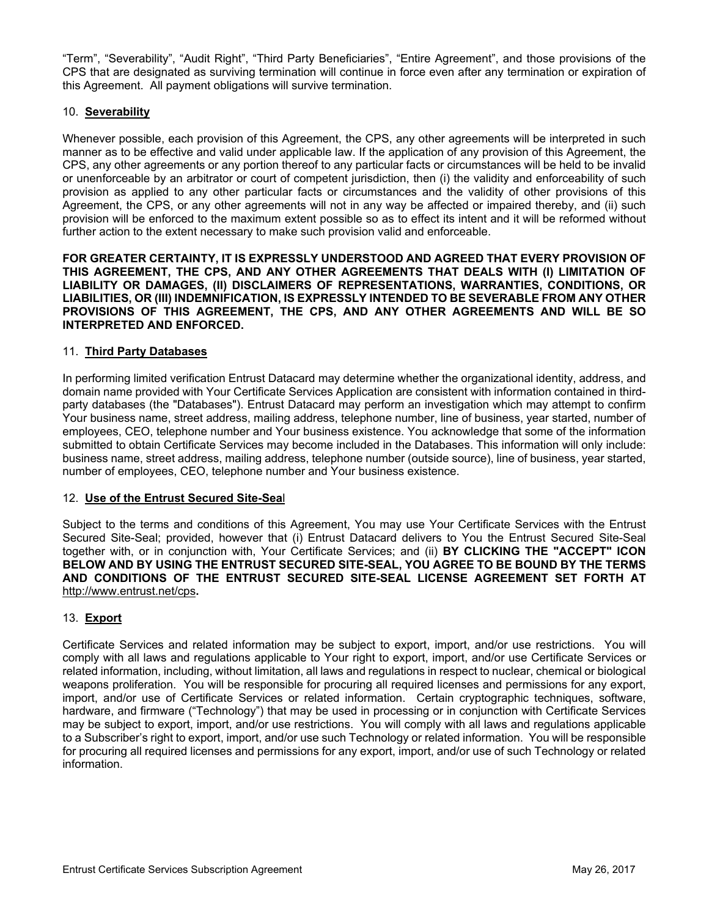"Term", "Severability", "Audit Right", "Third Party Beneficiaries", "Entire Agreement", and those provisions of the CPS that are designated as surviving termination will continue in force even after any termination or expiration of this Agreement. All payment obligations will survive termination.

#### 10. **Severability**

Whenever possible, each provision of this Agreement, the CPS, any other agreements will be interpreted in such manner as to be effective and valid under applicable law. If the application of any provision of this Agreement, the CPS, any other agreements or any portion thereof to any particular facts or circumstances will be held to be invalid or unenforceable by an arbitrator or court of competent jurisdiction, then (i) the validity and enforceability of such provision as applied to any other particular facts or circumstances and the validity of other provisions of this Agreement, the CPS, or any other agreements will not in any way be affected or impaired thereby, and (ii) such provision will be enforced to the maximum extent possible so as to effect its intent and it will be reformed without further action to the extent necessary to make such provision valid and enforceable.

**FOR GREATER CERTAINTY, IT IS EXPRESSLY UNDERSTOOD AND AGREED THAT EVERY PROVISION OF THIS AGREEMENT, THE CPS, AND ANY OTHER AGREEMENTS THAT DEALS WITH (I) LIMITATION OF LIABILITY OR DAMAGES, (II) DISCLAIMERS OF REPRESENTATIONS, WARRANTIES, CONDITIONS, OR LIABILITIES, OR (III) INDEMNIFICATION, IS EXPRESSLY INTENDED TO BE SEVERABLE FROM ANY OTHER PROVISIONS OF THIS AGREEMENT, THE CPS, AND ANY OTHER AGREEMENTS AND WILL BE SO INTERPRETED AND ENFORCED.** 

#### 11. **Third Party Databases**

In performing limited verification Entrust Datacard may determine whether the organizational identity, address, and domain name provided with Your Certificate Services Application are consistent with information contained in thirdparty databases (the "Databases"). Entrust Datacard may perform an investigation which may attempt to confirm Your business name, street address, mailing address, telephone number, line of business, year started, number of employees, CEO, telephone number and Your business existence. You acknowledge that some of the information submitted to obtain Certificate Services may become included in the Databases. This information will only include: business name, street address, mailing address, telephone number (outside source), line of business, year started, number of employees, CEO, telephone number and Your business existence.

#### 12. **Use of the Entrust Secured Site-Sea**l

Subject to the terms and conditions of this Agreement, You may use Your Certificate Services with the Entrust Secured Site-Seal; provided, however that (i) Entrust Datacard delivers to You the Entrust Secured Site-Seal together with, or in conjunction with, Your Certificate Services; and (ii) **BY CLICKING THE "ACCEPT" ICON BELOW AND BY USING THE ENTRUST SECURED SITE-SEAL, YOU AGREE TO BE BOUND BY THE TERMS AND CONDITIONS OF THE ENTRUST SECURED SITE-SEAL LICENSE AGREEMENT SET FORTH AT**  http://www.entrust.net/cps**.**

## 13. **Export**

Certificate Services and related information may be subject to export, import, and/or use restrictions. You will comply with all laws and regulations applicable to Your right to export, import, and/or use Certificate Services or related information, including, without limitation, all laws and regulations in respect to nuclear, chemical or biological weapons proliferation. You will be responsible for procuring all required licenses and permissions for any export, import, and/or use of Certificate Services or related information. Certain cryptographic techniques, software, hardware, and firmware ("Technology") that may be used in processing or in conjunction with Certificate Services may be subject to export, import, and/or use restrictions. You will comply with all laws and regulations applicable to a Subscriber's right to export, import, and/or use such Technology or related information. You will be responsible for procuring all required licenses and permissions for any export, import, and/or use of such Technology or related information.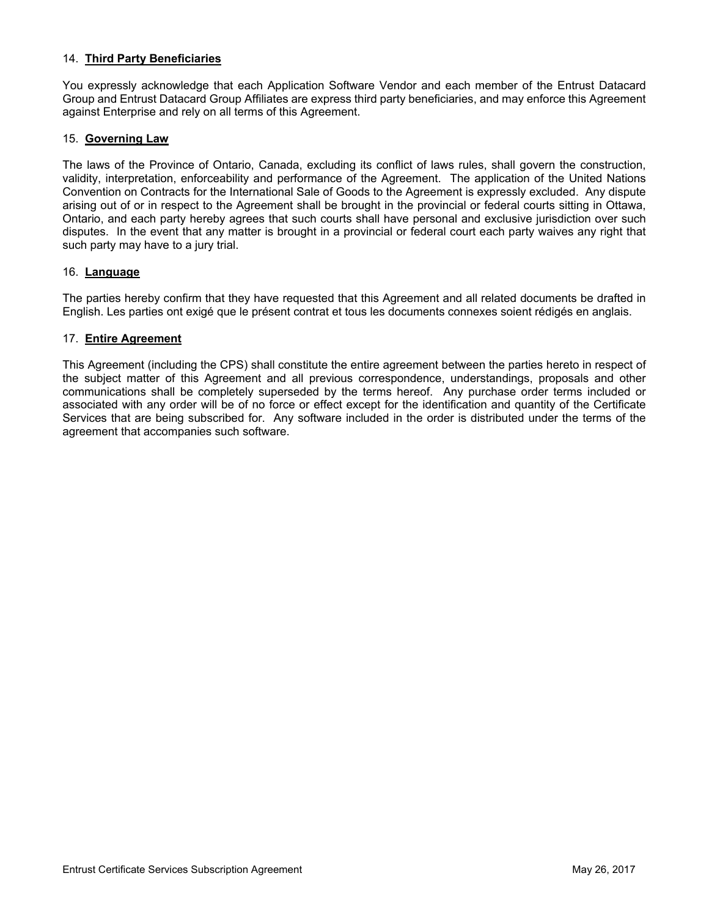#### 14. **Third Party Beneficiaries**

You expressly acknowledge that each Application Software Vendor and each member of the Entrust Datacard Group and Entrust Datacard Group Affiliates are express third party beneficiaries, and may enforce this Agreement against Enterprise and rely on all terms of this Agreement.

#### 15. **Governing Law**

The laws of the Province of Ontario, Canada, excluding its conflict of laws rules, shall govern the construction, validity, interpretation, enforceability and performance of the Agreement. The application of the United Nations Convention on Contracts for the International Sale of Goods to the Agreement is expressly excluded. Any dispute arising out of or in respect to the Agreement shall be brought in the provincial or federal courts sitting in Ottawa, Ontario, and each party hereby agrees that such courts shall have personal and exclusive jurisdiction over such disputes. In the event that any matter is brought in a provincial or federal court each party waives any right that such party may have to a jury trial.

#### 16. **Language**

The parties hereby confirm that they have requested that this Agreement and all related documents be drafted in English. Les parties ont exigé que le présent contrat et tous les documents connexes soient rédigés en anglais.

#### 17. **Entire Agreement**

This Agreement (including the CPS) shall constitute the entire agreement between the parties hereto in respect of the subject matter of this Agreement and all previous correspondence, understandings, proposals and other communications shall be completely superseded by the terms hereof. Any purchase order terms included or associated with any order will be of no force or effect except for the identification and quantity of the Certificate Services that are being subscribed for. Any software included in the order is distributed under the terms of the agreement that accompanies such software.